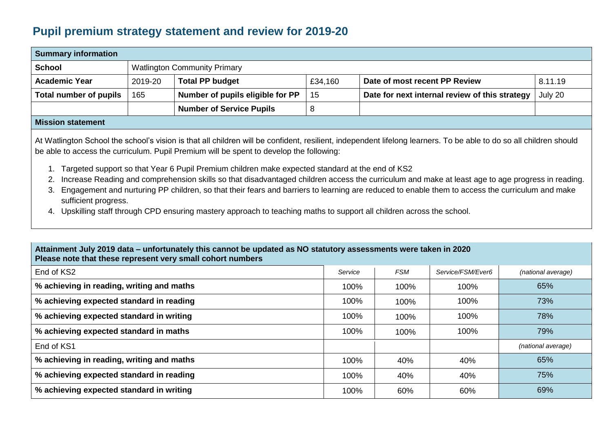## **Pupil premium strategy statement and review for 2019-20**

| <b>Summary information</b> |         |                                     |         |                                                |         |  |  |  |  |  |
|----------------------------|---------|-------------------------------------|---------|------------------------------------------------|---------|--|--|--|--|--|
| <b>School</b>              |         | <b>Watlington Community Primary</b> |         |                                                |         |  |  |  |  |  |
| <b>Academic Year</b>       | 2019-20 | <b>Total PP budget</b>              | £34,160 | Date of most recent PP Review                  | 8.11.19 |  |  |  |  |  |
| Total number of pupils     | 165     | Number of pupils eligible for PP    | 15      | Date for next internal review of this strategy | July 20 |  |  |  |  |  |
|                            |         | <b>Number of Service Pupils</b>     |         |                                                |         |  |  |  |  |  |
| Missism statement          |         |                                     |         |                                                |         |  |  |  |  |  |

## **Mission statement**

At Watlington School the school's vision is that all children will be confident, resilient, independent lifelong learners. To be able to do so all children should be able to access the curriculum. Pupil Premium will be spent to develop the following:

- 1. Targeted support so that Year 6 Pupil Premium children make expected standard at the end of KS2
- 2. Increase Reading and comprehension skills so that disadvantaged children access the curriculum and make at least age to age progress in reading.
- 3. Engagement and nurturing PP children, so that their fears and barriers to learning are reduced to enable them to access the curriculum and make sufficient progress.
- 4. Upskilling staff through CPD ensuring mastery approach to teaching maths to support all children across the school.

## **Attainment July 2019 data – unfortunately this cannot be updated as NO statutory assessments were taken in 2020 Please note that these represent very small cohort numbers**

| End of KS2                                | Service | <b>FSM</b> | Service/FSM/Ever6 | (national average) |
|-------------------------------------------|---------|------------|-------------------|--------------------|
| % achieving in reading, writing and maths | 100%    | 100%       | 100%              | 65%                |
| % achieving expected standard in reading  | 100%    | 100%       | 100%              | 73%                |
| % achieving expected standard in writing  | 100%    | 100%       | 100%              | 78%                |
| % achieving expected standard in maths    | 100%    | 100%       | 100%              | 79%                |
| End of KS1                                |         |            |                   | (national average) |
| % achieving in reading, writing and maths | 100%    | 40%        | 40%               | 65%                |
| % achieving expected standard in reading  | 100%    | 40%        | 40%               | 75%                |
| % achieving expected standard in writing  | 100%    | 60%        | 60%               | 69%                |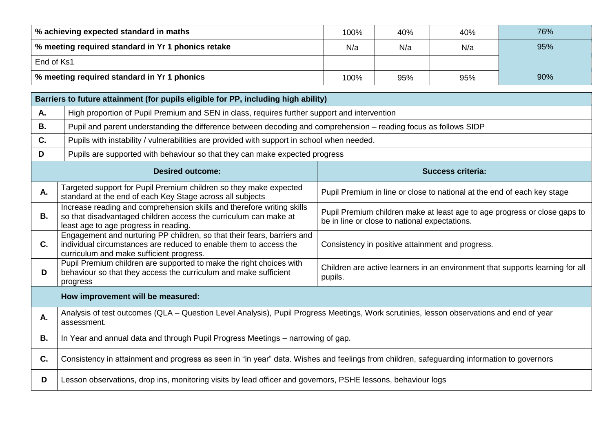| % achieving expected standard in maths               | 100% | 40% | 40% | 76% |
|------------------------------------------------------|------|-----|-----|-----|
| │ % meeting required standard in Yr 1 phonics retake | N/a  | N/a | N/a | 95% |
| End of Ks1                                           |      |     |     |     |
| % meeting required standard in Yr 1 phonics          | 100% | 95% | 95% | 90% |

|                | Barriers to future attainment (for pupils eligible for PP, including high ability)                                                                                                       |                                                                                                                            |  |  |  |  |  |  |  |
|----------------|------------------------------------------------------------------------------------------------------------------------------------------------------------------------------------------|----------------------------------------------------------------------------------------------------------------------------|--|--|--|--|--|--|--|
| Α.             |                                                                                                                                                                                          | High proportion of Pupil Premium and SEN in class, requires further support and intervention                               |  |  |  |  |  |  |  |
| <b>B.</b>      | Pupil and parent understanding the difference between decoding and comprehension - reading focus as follows SIDP                                                                         |                                                                                                                            |  |  |  |  |  |  |  |
| C.             | Pupils with instability / vulnerabilities are provided with support in school when needed.                                                                                               |                                                                                                                            |  |  |  |  |  |  |  |
| D              | Pupils are supported with behaviour so that they can make expected progress                                                                                                              |                                                                                                                            |  |  |  |  |  |  |  |
|                | <b>Desired outcome:</b>                                                                                                                                                                  | <b>Success criteria:</b>                                                                                                   |  |  |  |  |  |  |  |
| Α.             | Targeted support for Pupil Premium children so they make expected<br>standard at the end of each Key Stage across all subjects                                                           | Pupil Premium in line or close to national at the end of each key stage                                                    |  |  |  |  |  |  |  |
| <b>B.</b>      | Increase reading and comprehension skills and therefore writing skills<br>so that disadvantaged children access the curriculum can make at<br>least age to age progress in reading.      | Pupil Premium children make at least age to age progress or close gaps to<br>be in line or close to national expectations. |  |  |  |  |  |  |  |
| $\mathbf{C}$ . | Engagement and nurturing PP children, so that their fears, barriers and<br>individual circumstances are reduced to enable them to access the<br>curriculum and make sufficient progress. | Consistency in positive attainment and progress.                                                                           |  |  |  |  |  |  |  |
| D              | Pupil Premium children are supported to make the right choices with<br>behaviour so that they access the curriculum and make sufficient<br>progress                                      | Children are active learners in an environment that supports learning for all<br>pupils.                                   |  |  |  |  |  |  |  |
|                | How improvement will be measured:                                                                                                                                                        |                                                                                                                            |  |  |  |  |  |  |  |
| А.             | Analysis of test outcomes (QLA - Question Level Analysis), Pupil Progress Meetings, Work scrutinies, lesson observations and end of year<br>assessment.                                  |                                                                                                                            |  |  |  |  |  |  |  |
| В.             | In Year and annual data and through Pupil Progress Meetings - narrowing of gap.                                                                                                          |                                                                                                                            |  |  |  |  |  |  |  |
| C.             | Consistency in attainment and progress as seen in "in year" data. Wishes and feelings from children, safeguarding information to governors                                               |                                                                                                                            |  |  |  |  |  |  |  |
| D              | Lesson observations, drop ins, monitoring visits by lead officer and governors, PSHE lessons, behaviour logs                                                                             |                                                                                                                            |  |  |  |  |  |  |  |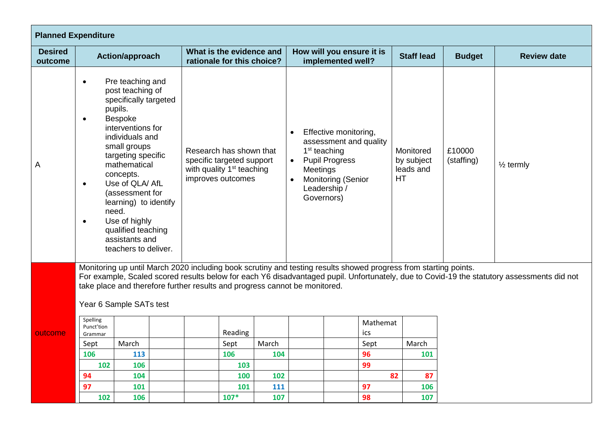| <b>Planned Expenditure</b>                                                                                                                                                                                                                                                                                                                                                                                                                                                                                                                                                                                                                                  |                                                                                                                                                                                                                                                                                                                                                                                                                                                                                                                                   |                 |  |                                                        |                                                                                                                                                                                                          |     |                                                |                                                   |                      |                      |               |                    |
|-------------------------------------------------------------------------------------------------------------------------------------------------------------------------------------------------------------------------------------------------------------------------------------------------------------------------------------------------------------------------------------------------------------------------------------------------------------------------------------------------------------------------------------------------------------------------------------------------------------------------------------------------------------|-----------------------------------------------------------------------------------------------------------------------------------------------------------------------------------------------------------------------------------------------------------------------------------------------------------------------------------------------------------------------------------------------------------------------------------------------------------------------------------------------------------------------------------|-----------------|--|--------------------------------------------------------|----------------------------------------------------------------------------------------------------------------------------------------------------------------------------------------------------------|-----|------------------------------------------------|---------------------------------------------------|----------------------|----------------------|---------------|--------------------|
| <b>Desired</b><br>outcome                                                                                                                                                                                                                                                                                                                                                                                                                                                                                                                                                                                                                                   |                                                                                                                                                                                                                                                                                                                                                                                                                                                                                                                                   | Action/approach |  | What is the evidence and<br>rationale for this choice? |                                                                                                                                                                                                          |     | How will you ensure it is<br>implemented well? |                                                   |                      | <b>Staff lead</b>    | <b>Budget</b> | <b>Review date</b> |
| A                                                                                                                                                                                                                                                                                                                                                                                                                                                                                                                                                                                                                                                           | Pre teaching and<br>$\bullet$<br>post teaching of<br>specifically targeted<br>pupils.<br>Bespoke<br>$\bullet$<br>interventions for<br>individuals and<br>small groups<br>Research has shown that<br>targeting specific<br>specific targeted support<br>mathematical<br>with quality 1 <sup>st</sup> teaching<br>concepts.<br>improves outcomes<br>Use of QLA/ AfL<br>$\bullet$<br>(assessment for<br>learning) to identify<br>need.<br>Use of highly<br>$\bullet$<br>qualified teaching<br>assistants and<br>teachers to deliver. |                 |  |                                                        | Effective monitoring,<br>$\bullet$<br>assessment and quality<br>$1st$ teaching<br><b>Pupil Progress</b><br>$\bullet$<br>Meetings<br><b>Monitoring (Senior</b><br>$\bullet$<br>Leadership /<br>Governors) |     |                                                | Monitored<br>by subject<br>leads and<br><b>HT</b> | £10000<br>(staffing) | $\frac{1}{2}$ termly |               |                    |
| Monitoring up until March 2020 including book scrutiny and testing results showed progress from starting points.<br>For example, Scaled scored results below for each Y6 disadvantaged pupil. Unfortunately, due to Covid-19 the statutory assessments did not<br>take place and therefore further results and progress cannot be monitored.<br>Year 6 Sample SATs test<br>Spelling<br>Mathemat<br>Punct'tion<br>ics<br>Reading<br>outcome<br>Grammar<br>March<br>March<br>March<br>Sept<br>Sept<br>Sept<br>96<br>106<br>113<br>106<br>104<br>101<br>99<br>102<br>106<br>103<br>94<br>104<br>102<br>82<br>87<br>100<br>97<br>97<br>101<br>101<br>111<br>106 |                                                                                                                                                                                                                                                                                                                                                                                                                                                                                                                                   |                 |  |                                                        |                                                                                                                                                                                                          |     |                                                |                                                   |                      |                      |               |                    |
|                                                                                                                                                                                                                                                                                                                                                                                                                                                                                                                                                                                                                                                             | 102                                                                                                                                                                                                                                                                                                                                                                                                                                                                                                                               | 106             |  |                                                        | $107*$                                                                                                                                                                                                   | 107 |                                                |                                                   | 98                   | 107                  |               |                    |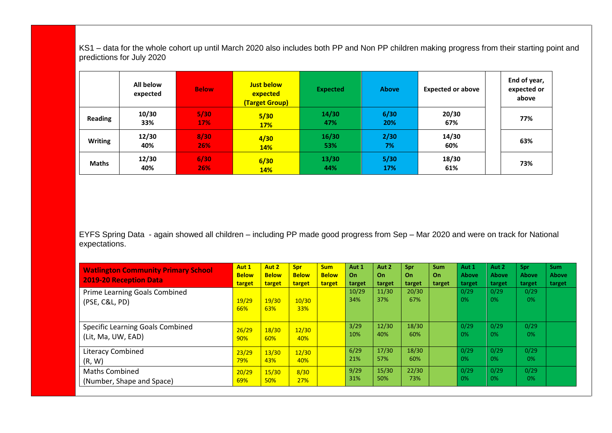KS1 – data for the whole cohort up until March 2020 also includes both PP and Non PP children making progress from their starting point and predictions for July 2020

|                | All below<br>expected | <b>Below</b> | <b>Just below</b><br>expected<br>(Target Group) | <b>Expected</b> | <b>Above</b> | <b>Expected or above</b> | End of year,<br>expected or<br>above |
|----------------|-----------------------|--------------|-------------------------------------------------|-----------------|--------------|--------------------------|--------------------------------------|
| Reading        | 10/30<br>33%          | 5/30<br>17%  | 5/30<br><b>17%</b>                              | 14/30<br>47%    | 6/30<br>20%  | 20/30<br>67%             | 77%                                  |
| <b>Writing</b> | 12/30<br>40%          | 8/30<br>26%  | 4/30<br>14%                                     | 16/30<br>53%    | 2/30<br>7%   | 14/30<br>60%             | 63%                                  |
| <b>Maths</b>   | 12/30<br>40%          | 6/30<br>26%  | 6/30<br>14%                                     | 13/30<br>44%    | 5/30<br>17%  | 18/30<br>61%             | 73%                                  |

EYFS Spring Data - again showed all children – including PP made good progress from Sep – Mar 2020 and were on track for National expectations.

| <b>Watlington Community Primary School</b><br><b>2019-20 Reception Data</b> | Aut 1<br><b>Below</b><br>target | Aut 2<br><b>Below</b><br>target | Spr<br><b>Below</b><br>target | <b>Sum</b><br><b>Below</b><br>target | Aut 1<br>On.<br>target | Aut 2<br>On.<br>target | Spr<br>On<br>target | <b>Sum</b><br>On<br>target | Aut 1<br>Above<br>target | Aut 2<br><b>Above</b><br>target | Spr<br><b>Above</b><br>target | <b>Sum</b><br><b>Above</b><br>target |
|-----------------------------------------------------------------------------|---------------------------------|---------------------------------|-------------------------------|--------------------------------------|------------------------|------------------------|---------------------|----------------------------|--------------------------|---------------------------------|-------------------------------|--------------------------------------|
| Prime Learning Goals Combined<br>(PSE, C&L, PD)                             | 19/29<br>66%                    | 19/30<br>63%                    | 10/30<br>33%                  |                                      | 10/29<br>34%           | 11/30<br>37%           | 20/30<br>67%        |                            | 0/29<br>0%               | 0/29<br>0%                      | 0/29<br>0%                    |                                      |
| Specific Learning Goals Combined<br>(Lit, Ma, UW, EAD)                      | 26/29<br>90%                    | 18/30<br>60%                    | 12/30<br>40%                  |                                      | 3/29<br>10%            | 12/30<br>40%           | 18/30<br>60%        |                            | 0/29<br>0%               | 0/29<br>0%                      | 0/29<br>$0\%$                 |                                      |
| <b>Literacy Combined</b><br>(R, W)                                          | 23/29<br>79%                    | 13/30<br>43%                    | 12/30<br>40%                  |                                      | 6/29<br>21%            | 17/30<br>57%           | 18/30<br>60%        |                            | 0/29<br>0%               | 0/29<br>0%                      | 0/29<br>0%                    |                                      |
| <b>Maths Combined</b><br>(Number, Shape and Space)                          | 20/29<br>69%                    | 15/30<br>50%                    | 8/30<br>27%                   |                                      | 9/29<br>31%            | 15/30<br>50%           | 22/30<br>73%        |                            | 0/29<br>0%               | 0/29<br>0%                      | 0/29<br>0%                    |                                      |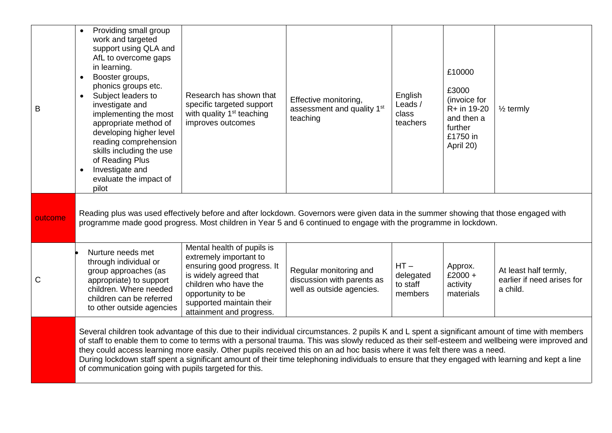| B            | Providing small group<br>work and targeted<br>support using QLA and<br>AfL to overcome gaps<br>in learning.<br>Booster groups,<br>$\bullet$<br>phonics groups etc.<br>Subject leaders to<br>$\bullet$<br>investigate and<br>implementing the most<br>appropriate method of<br>developing higher level<br>reading comprehension<br>skills including the use<br>of Reading Plus<br>Investigate and<br>$\bullet$<br>evaluate the impact of<br>pilot                                                                                                                                                                                           | Research has shown that<br>specific targeted support<br>with quality 1 <sup>st</sup> teaching<br>improves outcomes                                                                                                | Effective monitoring,<br>assessment and quality 1 <sup>st</sup><br>teaching       | English<br>Leads /<br>class<br>teachers    | £10000<br>£3000<br>(invoice for<br>R+ in 19-20<br>and then a<br>further<br>£1750 in<br>April 20) | $\frac{1}{2}$ termly                                            |  |  |  |  |
|--------------|--------------------------------------------------------------------------------------------------------------------------------------------------------------------------------------------------------------------------------------------------------------------------------------------------------------------------------------------------------------------------------------------------------------------------------------------------------------------------------------------------------------------------------------------------------------------------------------------------------------------------------------------|-------------------------------------------------------------------------------------------------------------------------------------------------------------------------------------------------------------------|-----------------------------------------------------------------------------------|--------------------------------------------|--------------------------------------------------------------------------------------------------|-----------------------------------------------------------------|--|--|--|--|
| outcome      | Reading plus was used effectively before and after lockdown. Governors were given data in the summer showing that those engaged with<br>programme made good progress. Most children in Year 5 and 6 continued to engage with the programme in lockdown.                                                                                                                                                                                                                                                                                                                                                                                    |                                                                                                                                                                                                                   |                                                                                   |                                            |                                                                                                  |                                                                 |  |  |  |  |
| $\mathsf{C}$ | Nurture needs met<br>through individual or<br>group approaches (as<br>appropriate) to support<br>children. Where needed<br>children can be referred<br>to other outside agencies                                                                                                                                                                                                                                                                                                                                                                                                                                                           | Mental health of pupils is<br>extremely important to<br>ensuring good progress. It<br>is widely agreed that<br>children who have the<br>opportunity to be<br>supported maintain their<br>attainment and progress. | Regular monitoring and<br>discussion with parents as<br>well as outside agencies. | $HT -$<br>delegated<br>to staff<br>members | Approx.<br>£2000 +<br>activity<br>materials                                                      | At least half termly,<br>earlier if need arises for<br>a child. |  |  |  |  |
|              | Several children took advantage of this due to their individual circumstances. 2 pupils K and L spent a significant amount of time with members<br>of staff to enable them to come to terms with a personal trauma. This was slowly reduced as their self-esteem and wellbeing were improved and<br>they could access learning more easily. Other pupils received this on an ad hoc basis where it was felt there was a need.<br>During lockdown staff spent a significant amount of their time telephoning individuals to ensure that they engaged with learning and kept a line<br>of communication going with pupils targeted for this. |                                                                                                                                                                                                                   |                                                                                   |                                            |                                                                                                  |                                                                 |  |  |  |  |